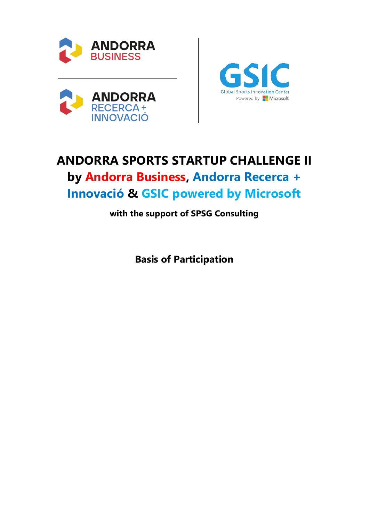





# **ANDORRA SPORTS STARTUP CHALLENGE II**

**by Andorra Business, Andorra Recerca + Innovació & GSIC powered by Microsoft**

**with the support of SPSG Consulting**

**Basis of Participation**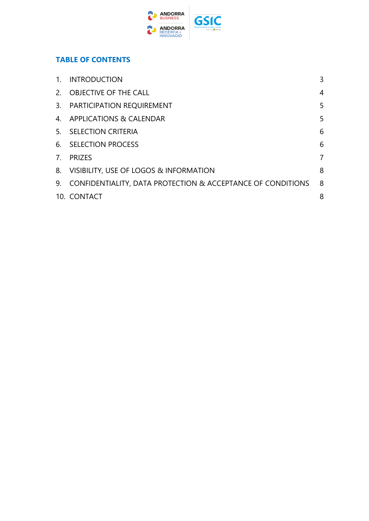

#### **TABLE OF CONTENTS**

| $\mathbf{1}$ . | <b>INTRODUCTION</b>                                                    | 3 |
|----------------|------------------------------------------------------------------------|---|
| 2 <sub>1</sub> | <b>OBJECTIVE OF THE CALL</b>                                           | 4 |
| 3.             | <b>PARTICIPATION REQUIREMENT</b>                                       | 5 |
|                | 4. APPLICATIONS & CALENDAR                                             | 5 |
| 5.             | <b>SELECTION CRITERIA</b>                                              | 6 |
|                | 6. SELECTION PROCESS                                                   | 6 |
| $7^{\circ}$    | <b>PRIZES</b>                                                          | 7 |
|                | 8. VISIBILITY, USE OF LOGOS & INFORMATION                              | 8 |
| 9.             | <b>CONFIDENTIALITY, DATA PROTECTION &amp; ACCEPTANCE OF CONDITIONS</b> | 8 |
|                | 10. CONTACT                                                            | 8 |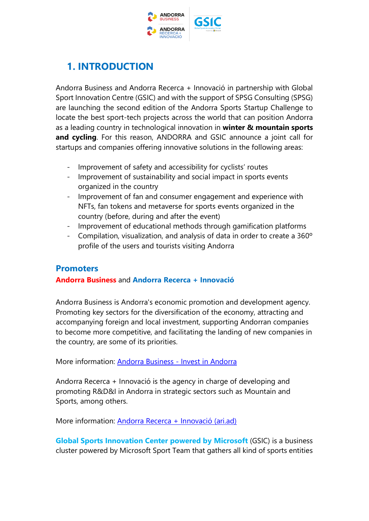

# <span id="page-2-0"></span>**1. INTRODUCTION**

Andorra Business and Andorra Recerca + Innovació in partnership with Global Sport Innovation Centre (GSIC) and with the support of SPSG Consulting (SPSG) are launching the second edition of the Andorra Sports Startup Challenge to locate the best sport-tech projects across the world that can position Andorra as a leading country in technological innovation in **winter & mountain sports and cycling**. For this reason, ANDORRA and GSIC announce a joint call for startups and companies offering innovative solutions in the following areas:

- Improvement of safety and accessibility for cyclists' routes
- Improvement of sustainability and social impact in sports events organized in the country
- Improvement of fan and consumer engagement and experience with NFTs, fan tokens and metaverse for sports events organized in the country (before, during and after the event)
- Improvement of educational methods through gamification platforms
- Compilation, visualization, and analysis of data in order to create a 360° profile of the users and tourists visiting Andorra

#### **Promoters**

#### **Andorra Business** and **Andorra Recerca + Innovació**

Andorra Business is Andorra's economic promotion and development agency. Promoting key sectors for the diversification of the economy, attracting and accompanying foreign and local investment, supporting Andorran companies to become more competitive, and facilitating the landing of new companies in the country, are some of its priorities.

More information: [Andorra Business -](https://www.andorrabusiness.com/en/) Invest in Andorra

Andorra Recerca + Innovació is the agency in charge of developing and promoting R&D&I in Andorra in strategic sectors such as Mountain and Sports, among others.

More information: [Andorra Recerca + Innovació \(ari.ad\)](https://www.ari.ad/)

**Global Sports Innovation Center powered by Microsoft** (GSIC) is a business cluster powered by Microsoft Sport Team that gathers all kind of sports entities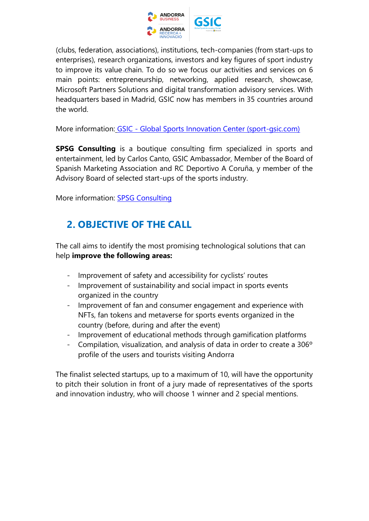

(clubs, federation, associations), institutions, tech-companies (from start-ups to enterprises), research organizations, investors and key figures of sport industry to improve its value chain. To do so we focus our activities and services on 6 main points: entrepreneurship, networking, applied research, showcase, Microsoft Partners Solutions and digital transformation advisory services. With headquarters based in Madrid, GSIC now has members in 35 countries around the world.

More information: GSIC - [Global Sports Innovation Center \(sport-gsic.com\)](https://sport-gsic.com/)

**SPSG Consulting** is a boutique consulting firm specialized in sports and entertainment, led by Carlos Canto, GSIC Ambassador, Member of the Board of Spanish Marketing Association and RC Deportivo A Coruña, y member of the Advisory Board of selected start-ups of the sports industry.

<span id="page-3-0"></span>More information: [SPSG Consulting](https://www.spsgconsulting.com/)

# **2. OBJECTIVE OF THE CALL**

The call aims to identify the most promising technological solutions that can help **improve the following areas:**

- Improvement of safety and accessibility for cyclists' routes
- Improvement of sustainability and social impact in sports events organized in the country
- Improvement of fan and consumer engagement and experience with NFTs, fan tokens and metaverse for sports events organized in the country (before, during and after the event)
- Improvement of educational methods through gamification platforms
- Compilation, visualization, and analysis of data in order to create a 306º profile of the users and tourists visiting Andorra

The finalist selected startups, up to a maximum of 10, will have the opportunity to pitch their solution in front of a jury made of representatives of the sports and innovation industry, who will choose 1 winner and 2 special mentions.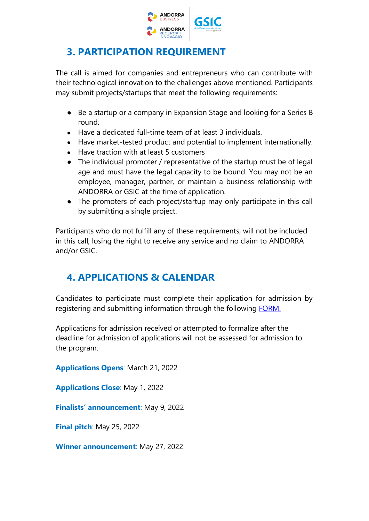

## <span id="page-4-0"></span>**3. PARTICIPATION REQUIREMENT**

The call is aimed for companies and entrepreneurs who can contribute with their technological innovation to the challenges above mentioned. Participants may submit projects/startups that meet the following requirements:

- Be a startup or a company in Expansion Stage and looking for a Series B round.
- Have a dedicated full-time team of at least 3 individuals.
- Have market-tested product and potential to implement internationally.
- Have traction with at least 5 customers
- The individual promoter / representative of the startup must be of legal age and must have the legal capacity to be bound. You may not be an employee, manager, partner, or maintain a business relationship with ANDORRA or GSIC at the time of application.
- The promoters of each project/startup may only participate in this call by submitting a single project.

Participants who do not fulfill any of these requirements, will not be included in this call, losing the right to receive any service and no claim to ANDORRA and/or GSIC.

## <span id="page-4-1"></span>**4. APPLICATIONS & CALENDAR**

Candidates to participate must complete their application for admission by registering and submitting information through the following **FORM**.

Applications for admission received or attempted to formalize after the deadline for admission of applications will not be assessed for admission to the program.

**Applications Opens**: March 21, 2022

**Applications Close**: May 1, 2022

**Finalists' announcement**: May 9, 2022

**Final pitch**: May 25, 2022

**Winner announcement**: May 27, 2022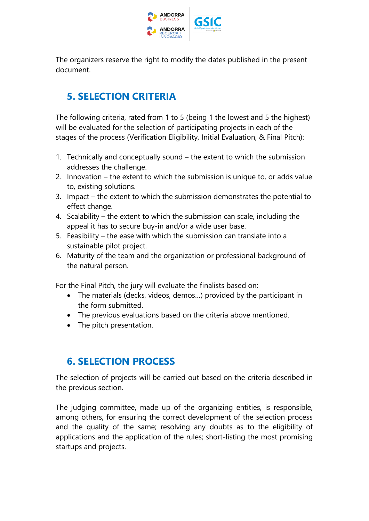

<span id="page-5-0"></span>The organizers reserve the right to modify the dates published in the present document.

# **5. SELECTION CRITERIA**

The following criteria, rated from 1 to 5 (being 1 the lowest and 5 the highest) will be evaluated for the selection of participating projects in each of the stages of the process (Verification Eligibility, Initial Evaluation, & Final Pitch):

- 1. Technically and conceptually sound the extent to which the submission addresses the challenge.
- 2. Innovation the extent to which the submission is unique to, or adds value to, existing solutions.
- 3. Impact the extent to which the submission demonstrates the potential to effect change.
- 4. Scalability the extent to which the submission can scale, including the appeal it has to secure buy-in and/or a wide user base.
- 5. Feasibility the ease with which the submission can translate into a sustainable pilot project.
- 6. Maturity of the team and the organization or professional background of the natural person.

For the Final Pitch, the jury will evaluate the finalists based on:

- The materials (decks, videos, demos…) provided by the participant in the form submitted.
- The previous evaluations based on the criteria above mentioned.
- The pitch presentation.

# <span id="page-5-1"></span>**6. SELECTION PROCESS**

The selection of projects will be carried out based on the criteria described in the previous section.

The judging committee, made up of the organizing entities, is responsible, among others, for ensuring the correct development of the selection process and the quality of the same; resolving any doubts as to the eligibility of applications and the application of the rules; short-listing the most promising startups and projects.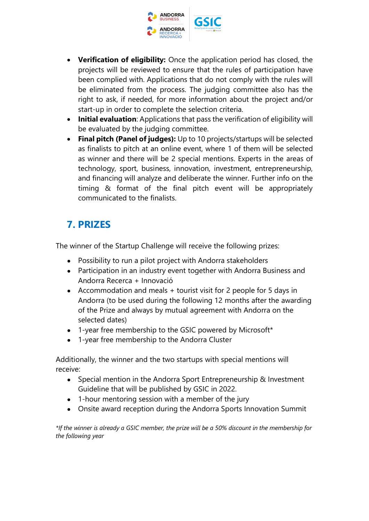

- **Verification of eligibility:** Once the application period has closed, the projects will be reviewed to ensure that the rules of participation have been complied with. Applications that do not comply with the rules will be eliminated from the process. The judging committee also has the right to ask, if needed, for more information about the project and/or start-up in order to complete the selection criteria.
- **Initial evaluation**: Applications that pass the verification of eligibility will be evaluated by the judging committee.
- **Final pitch (Panel of judges):** Up to 10 projects/startups will be selected as finalists to pitch at an online event, where 1 of them will be selected as winner and there will be 2 special mentions. Experts in the areas of technology, sport, business, innovation, investment, entrepreneurship, and financing will analyze and deliberate the winner. Further info on the timing & format of the final pitch event will be appropriately communicated to the finalists.

# <span id="page-6-0"></span>**7. PRIZES**

The winner of the Startup Challenge will receive the following prizes:

- Possibility to run a pilot project with Andorra stakeholders
- Participation in an industry event together with Andorra Business and Andorra Recerca + Innovació
- Accommodation and meals + tourist visit for 2 people for 5 days in Andorra (to be used during the following 12 months after the awarding of the Prize and always by mutual agreement with Andorra on the selected dates)
- 1-year free membership to the GSIC powered by Microsoft\*
- 1-year free membership to the Andorra Cluster

Additionally, the winner and the two startups with special mentions will receive:

- Special mention in the Andorra Sport Entrepreneurship & Investment Guideline that will be published by GSIC in 2022.
- 1-hour mentoring session with a member of the jury
- Onsite award reception during the Andorra Sports Innovation Summit

*\*If the winner is already a GSIC member, the prize will be a 50% discount in the membership for the following year*